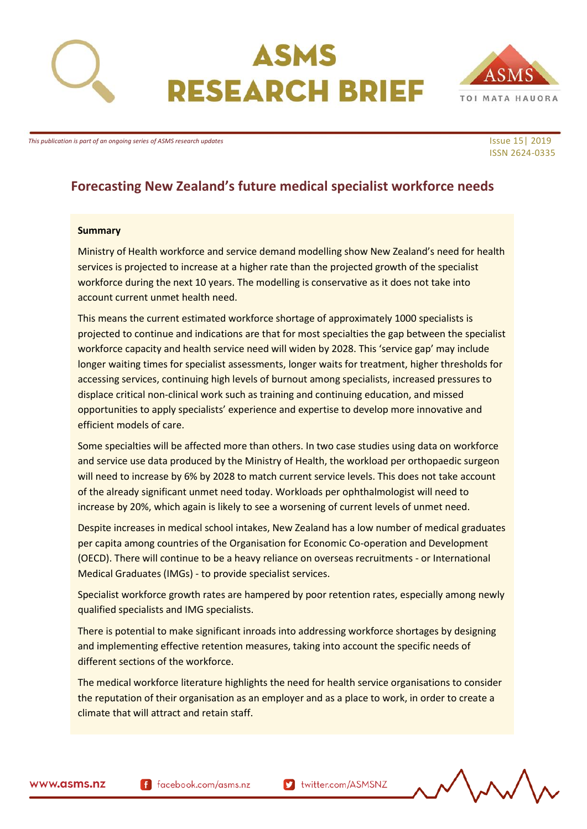

# ASMS **RESEARCH BRIEF**



*This publication is part of an ongoing series of ASMS research updates* In the series of ASMS research updates Issue 15| 2019

# ISSN 2624-0335

# **Forecasting New Zealand's future medical specialist workforce needs**

#### **Summary**

Ministry of Health workforce and service demand modelling show New Zealand's need for health services is projected to increase at a higher rate than the projected growth of the specialist workforce during the next 10 years. The modelling is conservative as it does not take into account current unmet health need.

This means the current estimated workforce shortage of approximately 1000 specialists is projected to continue and indications are that for most specialties the gap between the specialist workforce capacity and health service need will widen by 2028. This 'service gap' may include longer waiting times for specialist assessments, longer waits for treatment, higher thresholds for accessing services, continuing high levels of burnout among specialists, increased pressures to displace critical non-clinical work such as training and continuing education, and missed opportunities to apply specialists' experience and expertise to develop more innovative and efficient models of care.

Some specialties will be affected more than others. In two case studies using data on workforce and service use data produced by the Ministry of Health, the workload per orthopaedic surgeon will need to increase by 6% by 2028 to match current service levels. This does not take account of the already significant unmet need today. Workloads per ophthalmologist will need to increase by 20%, which again is likely to see a worsening of current levels of unmet need.

Despite increases in medical school intakes, New Zealand has a low number of medical graduates per capita among countries of the Organisation for Economic Co-operation and Development (OECD). There will continue to be a heavy reliance on overseas recruitments - or International Medical Graduates (IMGs) - to provide specialist services.

Specialist workforce growth rates are hampered by poor retention rates, especially among newly qualified specialists and IMG specialists.

There is potential to make significant inroads into addressing workforce shortages by designing and implementing effective retention measures, taking into account the specific needs of different sections of the workforce.

The medical workforce literature highlights the need for health service organisations to consider the reputation of their organisation as an employer and as a place to work, in order to create a climate that will attract and retain staff.

f facebook.com/asms.nz

Muslim twitter.com/ASMSNZ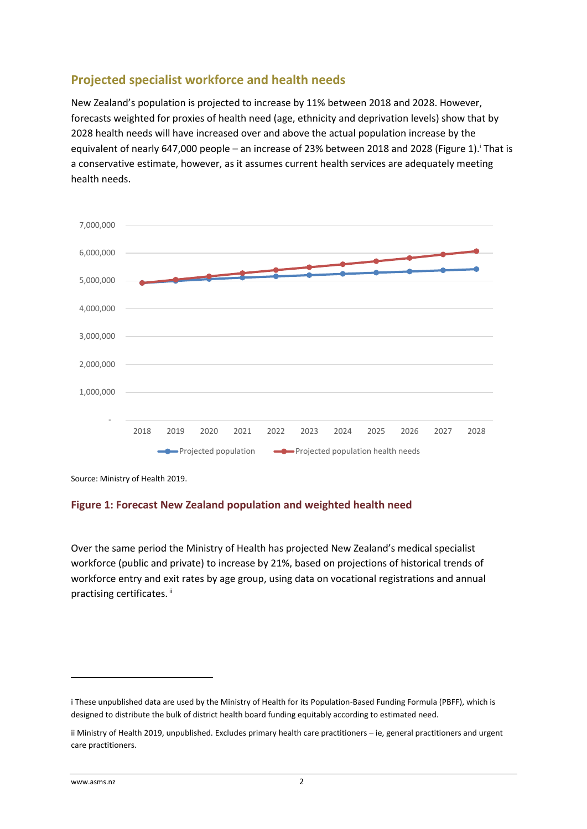### **Projected specialist workforce and health needs**

New Zealand's population is projected to increase by 11% between 2018 and 2028. However, forecasts weighted for proxies of health need (age, ethnicity and deprivation levels) show that by 2028 health needs will have increased over and above the actual population increase by the equivalent of nearly 647,000 people – an increase of 23% between 2018 and 2028 (Figure 1). That is a conservative estimate, however, as it assumes current health services are adequately meeting health needs.



Source: Ministry of Health 2019.

#### **Figure 1: Forecast New Zealand population and weighted health need**

Over the same period the Ministry of Health has projected New Zealand's medical specialist workforce (public and private) to increase by 21%, based on projections of historical trends of workforce entry and exit rates by age group, using data on vocational registrations and annual practising certificates.<sup>ii</sup>

 $\overline{\phantom{a}}$ 

i These unpublished data are used by the Ministry of Health for its Population-Based Funding Formula (PBFF), which is designed to distribute the bulk of district health board funding equitably according to estimated need.

ii Ministry of Health 2019, unpublished. Excludes primary health care practitioners – ie, general practitioners and urgent care practitioners.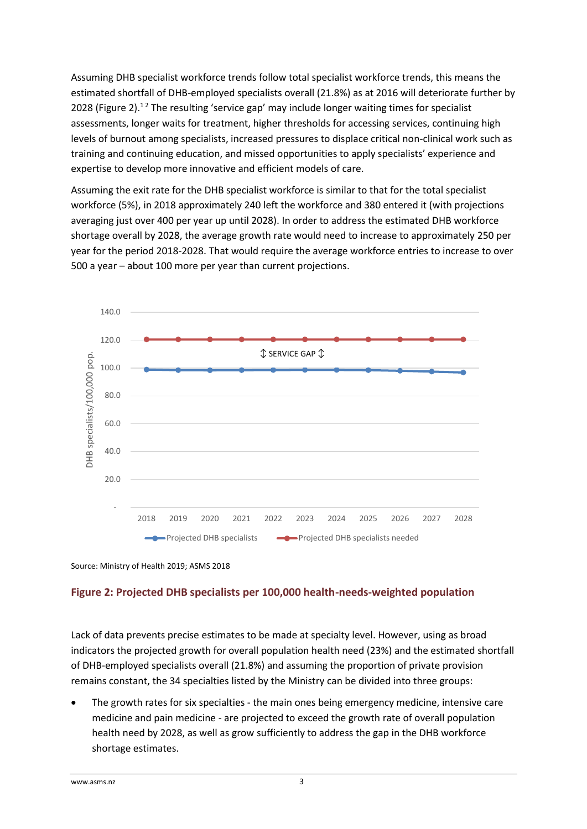Assuming DHB specialist workforce trends follow total specialist workforce trends, this means the estimated shortfall of DHB-employed specialists overall (21.8%) as at 2016 will deteriorate further by 2028 (Figure 2).<sup>12</sup> The resulting 'service gap' may include longer waiting times for specialist assessments, longer waits for treatment, higher thresholds for accessing services, continuing high levels of burnout among specialists, increased pressures to displace critical non-clinical work such as training and continuing education, and missed opportunities to apply specialists' experience and expertise to develop more innovative and efficient models of care.

Assuming the exit rate for the DHB specialist workforce is similar to that for the total specialist workforce (5%), in 2018 approximately 240 left the workforce and 380 entered it (with projections averaging just over 400 per year up until 2028). In order to address the estimated DHB workforce shortage overall by 2028, the average growth rate would need to increase to approximately 250 per year for the period 2018-2028. That would require the average workforce entries to increase to over 500 a year – about 100 more per year than current projections.



Source: Ministry of Health 2019; ASMS 2018

#### **Figure 2: Projected DHB specialists per 100,000 health-needs-weighted population**

Lack of data prevents precise estimates to be made at specialty level. However, using as broad indicators the projected growth for overall population health need (23%) and the estimated shortfall of DHB-employed specialists overall (21.8%) and assuming the proportion of private provision remains constant, the 34 specialties listed by the Ministry can be divided into three groups:

• The growth rates for six specialties - the main ones being emergency medicine, intensive care medicine and pain medicine - are projected to exceed the growth rate of overall population health need by 2028, as well as grow sufficiently to address the gap in the DHB workforce shortage estimates.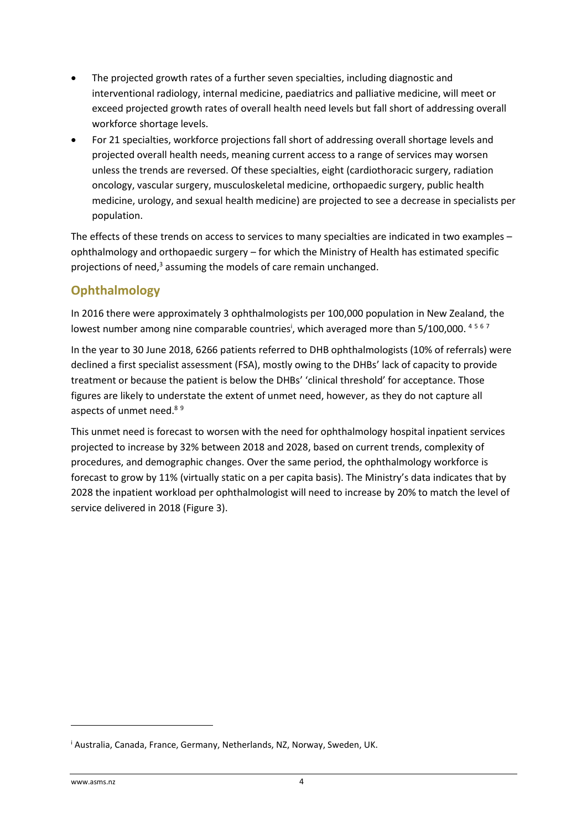- The projected growth rates of a further seven specialties, including diagnostic and interventional radiology, internal medicine, paediatrics and palliative medicine, will meet or exceed projected growth rates of overall health need levels but fall short of addressing overall workforce shortage levels.
- For 21 specialties, workforce projections fall short of addressing overall shortage levels and projected overall health needs, meaning current access to a range of services may worsen unless the trends are reversed. Of these specialties, eight (cardiothoracic surgery, radiation oncology, vascular surgery, musculoskeletal medicine, orthopaedic surgery, public health medicine, urology, and sexual health medicine) are projected to see a decrease in specialists per population.

The effects of these trends on access to services to many specialties are indicated in two examples – ophthalmology and orthopaedic surgery – for which the Ministry of Health has estimated specific projections of need,<sup>3</sup> assuming the models of care remain unchanged.

# **Ophthalmology**

In 2016 there were approximately 3 ophthalmologists per 100,000 population in New Zealand, the lowest number among nine comparable countries<sup>i</sup>, which averaged more than 5/100,000. 4567

In the year to 30 June 2018, 6266 patients referred to DHB ophthalmologists (10% of referrals) were declined a first specialist assessment (FSA), mostly owing to the DHBs' lack of capacity to provide treatment or because the patient is below the DHBs' 'clinical threshold' for acceptance. Those figures are likely to understate the extent of unmet need, however, as they do not capture all aspects of unmet need.<sup>89</sup>

This unmet need is forecast to worsen with the need for ophthalmology hospital inpatient services projected to increase by 32% between 2018 and 2028, based on current trends, complexity of procedures, and demographic changes. Over the same period, the ophthalmology workforce is forecast to grow by 11% (virtually static on a per capita basis). The Ministry's data indicates that by 2028 the inpatient workload per ophthalmologist will need to increase by 20% to match the level of service delivered in 2018 (Figure 3).

**.** 

<sup>i</sup> Australia, Canada, France, Germany, Netherlands, NZ, Norway, Sweden, UK.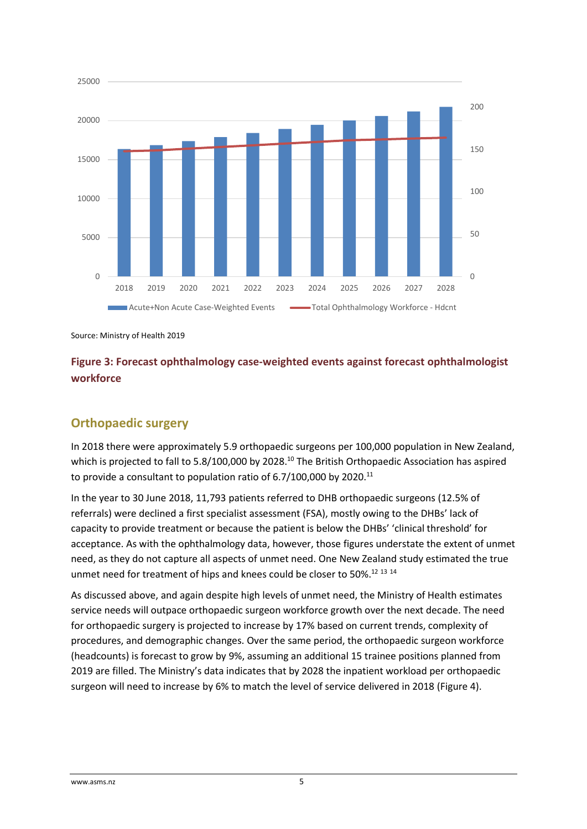

Source: Ministry of Health 2019

#### **Figure 3: Forecast ophthalmology case-weighted events against forecast ophthalmologist workforce**

#### **Orthopaedic surgery**

In 2018 there were approximately 5.9 orthopaedic surgeons per 100,000 population in New Zealand, which is projected to fall to 5.8/100,000 by 2028.<sup>10</sup> The British Orthopaedic Association has aspired to provide a consultant to population ratio of  $6.7/100,000$  by 2020.<sup>11</sup>

In the year to 30 June 2018, 11,793 patients referred to DHB orthopaedic surgeons (12.5% of referrals) were declined a first specialist assessment (FSA), mostly owing to the DHBs' lack of capacity to provide treatment or because the patient is below the DHBs' 'clinical threshold' for acceptance. As with the ophthalmology data, however, those figures understate the extent of unmet need, as they do not capture all aspects of unmet need. One New Zealand study estimated the true unmet need for treatment of hips and knees could be closer to 50%.<sup>12 13 14</sup>

As discussed above, and again despite high levels of unmet need, the Ministry of Health estimates service needs will outpace orthopaedic surgeon workforce growth over the next decade. The need for orthopaedic surgery is projected to increase by 17% based on current trends, complexity of procedures, and demographic changes. Over the same period, the orthopaedic surgeon workforce (headcounts) is forecast to grow by 9%, assuming an additional 15 trainee positions planned from 2019 are filled. The Ministry's data indicates that by 2028 the inpatient workload per orthopaedic surgeon will need to increase by 6% to match the level of service delivered in 2018 (Figure 4).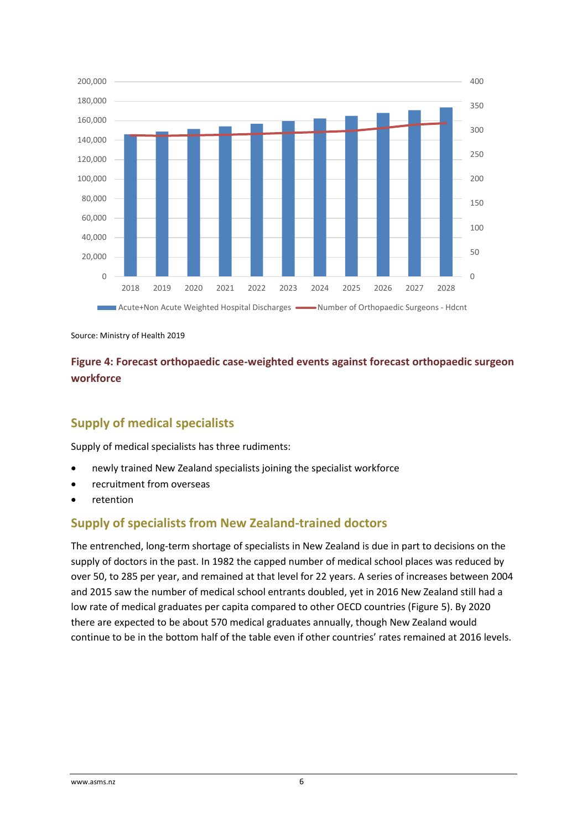

Source: Ministry of Health 2019

#### **Figure 4: Forecast orthopaedic case-weighted events against forecast orthopaedic surgeon workforce**

#### **Supply of medical specialists**

Supply of medical specialists has three rudiments:

- newly trained New Zealand specialists joining the specialist workforce
- recruitment from overseas
- retention

#### **Supply of specialists from New Zealand-trained doctors**

The entrenched, long-term shortage of specialists in New Zealand is due in part to decisions on the supply of doctors in the past. In 1982 the capped number of medical school places was reduced by over 50, to 285 per year, and remained at that level for 22 years. A series of increases between 2004 and 2015 saw the number of medical school entrants doubled, yet in 2016 New Zealand still had a low rate of medical graduates per capita compared to other OECD countries (Figure 5). By 2020 there are expected to be about 570 medical graduates annually, though New Zealand would continue to be in the bottom half of the table even if other countries' rates remained at 2016 levels.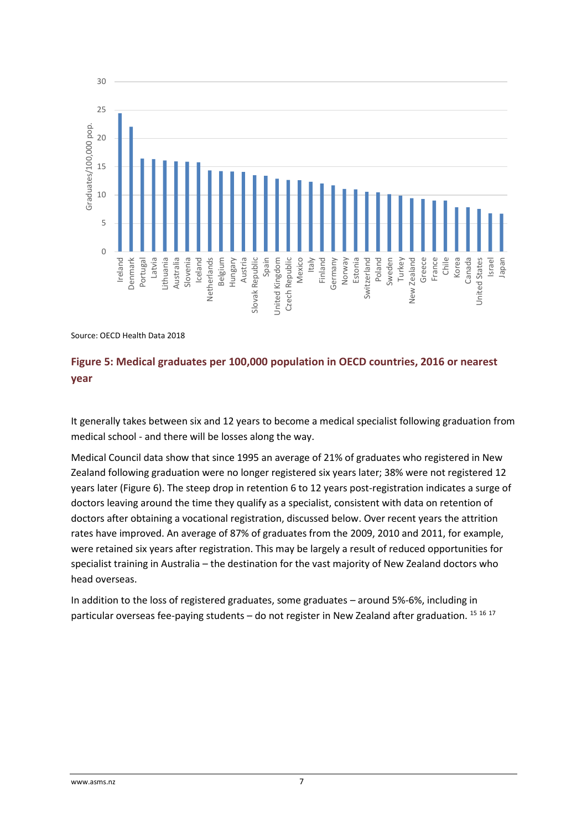

Source: OECD Health Data 2018

#### **Figure 5: Medical graduates per 100,000 population in OECD countries, 2016 or nearest year**

It generally takes between six and 12 years to become a medical specialist following graduation from medical school - and there will be losses along the way.

Medical Council data show that since 1995 an average of 21% of graduates who registered in New Zealand following graduation were no longer registered six years later; 38% were not registered 12 years later (Figure 6). The steep drop in retention 6 to 12 years post-registration indicates a surge of doctors leaving around the time they qualify as a specialist, consistent with data on retention of doctors after obtaining a vocational registration, discussed below. Over recent years the attrition rates have improved. An average of 87% of graduates from the 2009, 2010 and 2011, for example, were retained six years after registration. This may be largely a result of reduced opportunities for specialist training in Australia – the destination for the vast majority of New Zealand doctors who head overseas.

In addition to the loss of registered graduates, some graduates – around 5%-6%, including in particular overseas fee-paying students - do not register in New Zealand after graduation. 15 16 17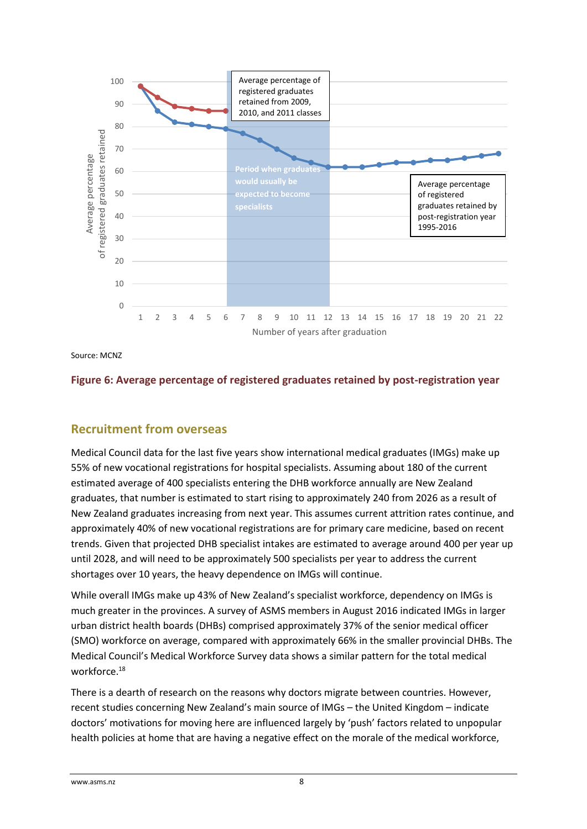

Source: MCNZ

#### **Figure 6: Average percentage of registered graduates retained by post-registration year**

#### **Recruitment from overseas**

Medical Council data for the last five years show international medical graduates (IMGs) make up 55% of new vocational registrations for hospital specialists. Assuming about 180 of the current estimated average of 400 specialists entering the DHB workforce annually are New Zealand graduates, that number is estimated to start rising to approximately 240 from 2026 as a result of New Zealand graduates increasing from next year. This assumes current attrition rates continue, and approximately 40% of new vocational registrations are for primary care medicine, based on recent trends. Given that projected DHB specialist intakes are estimated to average around 400 per year up until 2028, and will need to be approximately 500 specialists per year to address the current shortages over 10 years, the heavy dependence on IMGs will continue.

While overall IMGs make up 43% of New Zealand's specialist workforce, dependency on IMGs is much greater in the provinces. A survey of ASMS members in August 2016 indicated IMGs in larger urban district health boards (DHBs) comprised approximately 37% of the senior medical officer (SMO) workforce on average, compared with approximately 66% in the smaller provincial DHBs. The Medical Council's Medical Workforce Survey data shows a similar pattern for the total medical workforce.<sup>18</sup>

There is a dearth of research on the reasons why doctors migrate between countries. However, recent studies concerning New Zealand's main source of IMGs – the United Kingdom – indicate doctors' motivations for moving here are influenced largely by 'push' factors related to unpopular health policies at home that are having a negative effect on the morale of the medical workforce,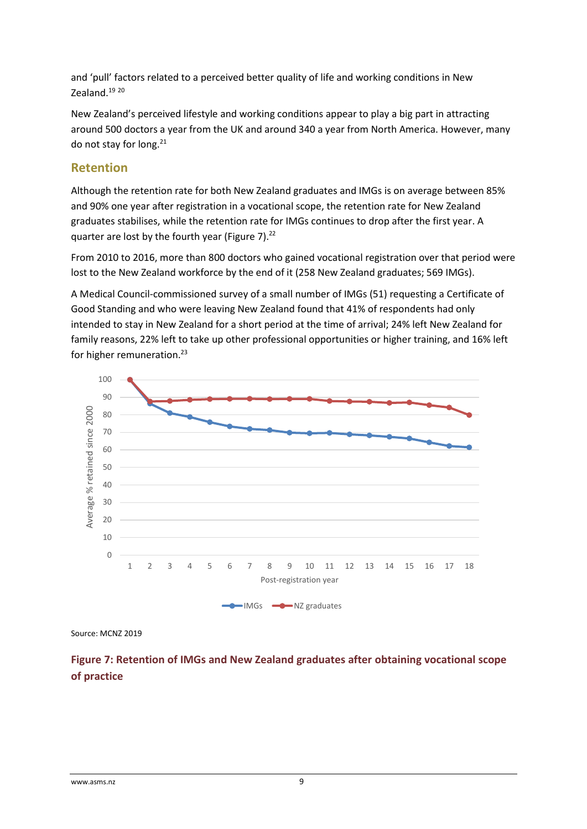and 'pull' factors related to a perceived better quality of life and working conditions in New Zealand.<sup>19</sup> 20

New Zealand's perceived lifestyle and working conditions appear to play a big part in attracting around 500 doctors a year from the UK and around 340 a year from North America. However, many do not stay for long. $21$ 

#### **Retention**

Although the retention rate for both New Zealand graduates and IMGs is on average between 85% and 90% one year after registration in a vocational scope, the retention rate for New Zealand graduates stabilises, while the retention rate for IMGs continues to drop after the first year. A quarter are lost by the fourth year (Figure 7).<sup>22</sup>

From 2010 to 2016, more than 800 doctors who gained vocational registration over that period were lost to the New Zealand workforce by the end of it (258 New Zealand graduates; 569 IMGs).

A Medical Council-commissioned survey of a small number of IMGs (51) requesting a Certificate of Good Standing and who were leaving New Zealand found that 41% of respondents had only intended to stay in New Zealand for a short period at the time of arrival; 24% left New Zealand for family reasons, 22% left to take up other professional opportunities or higher training, and 16% left for higher remuneration.<sup>23</sup>



Source: MCNZ 2019

#### **Figure 7: Retention of IMGs and New Zealand graduates after obtaining vocational scope of practice**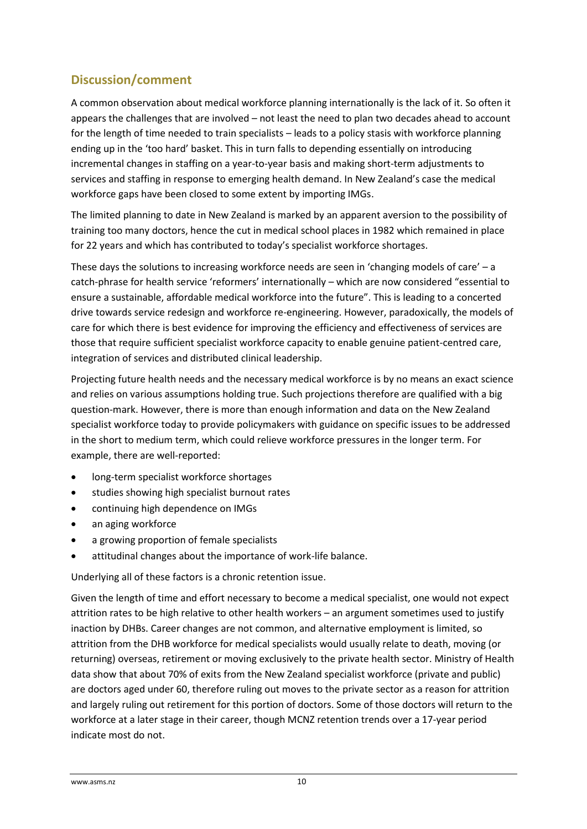## **Discussion/comment**

A common observation about medical workforce planning internationally is the lack of it. So often it appears the challenges that are involved – not least the need to plan two decades ahead to account for the length of time needed to train specialists – leads to a policy stasis with workforce planning ending up in the 'too hard' basket. This in turn falls to depending essentially on introducing incremental changes in staffing on a year-to-year basis and making short-term adjustments to services and staffing in response to emerging health demand. In New Zealand's case the medical workforce gaps have been closed to some extent by importing IMGs.

The limited planning to date in New Zealand is marked by an apparent aversion to the possibility of training too many doctors, hence the cut in medical school places in 1982 which remained in place for 22 years and which has contributed to today's specialist workforce shortages.

These days the solutions to increasing workforce needs are seen in 'changing models of care' – a catch-phrase for health service 'reformers' internationally – which are now considered "essential to ensure a sustainable, affordable medical workforce into the future". This is leading to a concerted drive towards service redesign and workforce re-engineering. However, paradoxically, the models of care for which there is best evidence for improving the efficiency and effectiveness of services are those that require sufficient specialist workforce capacity to enable genuine patient-centred care, integration of services and distributed clinical leadership.

Projecting future health needs and the necessary medical workforce is by no means an exact science and relies on various assumptions holding true. Such projections therefore are qualified with a big question-mark. However, there is more than enough information and data on the New Zealand specialist workforce today to provide policymakers with guidance on specific issues to be addressed in the short to medium term, which could relieve workforce pressures in the longer term. For example, there are well-reported:

- long-term specialist workforce shortages
- studies showing high specialist burnout rates
- continuing high dependence on IMGs
- an aging workforce
- a growing proportion of female specialists
- attitudinal changes about the importance of work-life balance.

Underlying all of these factors is a chronic retention issue.

Given the length of time and effort necessary to become a medical specialist, one would not expect attrition rates to be high relative to other health workers – an argument sometimes used to justify inaction by DHBs. Career changes are not common, and alternative employment is limited, so attrition from the DHB workforce for medical specialists would usually relate to death, moving (or returning) overseas, retirement or moving exclusively to the private health sector. Ministry of Health data show that about 70% of exits from the New Zealand specialist workforce (private and public) are doctors aged under 60, therefore ruling out moves to the private sector as a reason for attrition and largely ruling out retirement for this portion of doctors. Some of those doctors will return to the workforce at a later stage in their career, though MCNZ retention trends over a 17-year period indicate most do not.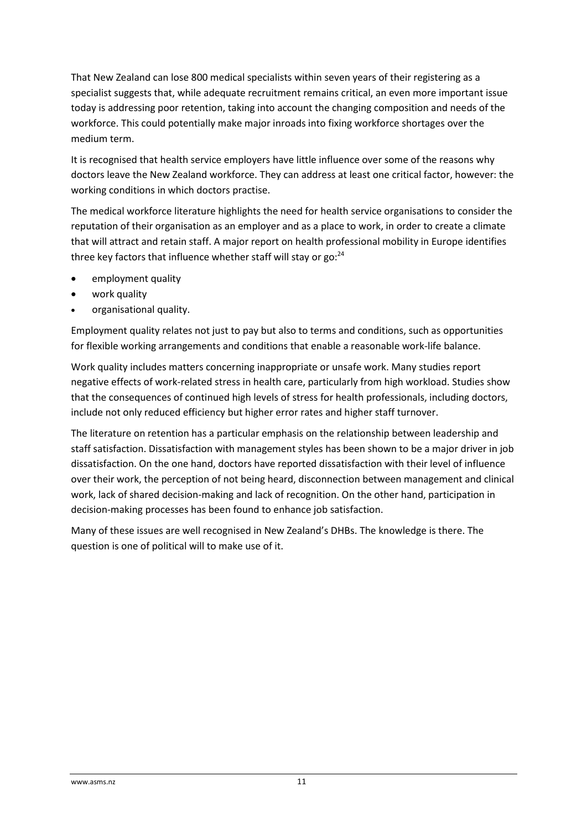That New Zealand can lose 800 medical specialists within seven years of their registering as a specialist suggests that, while adequate recruitment remains critical, an even more important issue today is addressing poor retention, taking into account the changing composition and needs of the workforce. This could potentially make major inroads into fixing workforce shortages over the medium term.

It is recognised that health service employers have little influence over some of the reasons why doctors leave the New Zealand workforce. They can address at least one critical factor, however: the working conditions in which doctors practise.

The medical workforce literature highlights the need for health service organisations to consider the reputation of their organisation as an employer and as a place to work, in order to create a climate that will attract and retain staff. A major report on health professional mobility in Europe identifies three key factors that influence whether staff will stay or  $go: <sup>24</sup>$ 

- employment quality
- work quality
- organisational quality.

Employment quality relates not just to pay but also to terms and conditions, such as opportunities for flexible working arrangements and conditions that enable a reasonable work-life balance.

Work quality includes matters concerning inappropriate or unsafe work. Many studies report negative effects of work-related stress in health care, particularly from high workload. Studies show that the consequences of continued high levels of stress for health professionals, including doctors, include not only reduced efficiency but higher error rates and higher staff turnover.

The literature on retention has a particular emphasis on the relationship between leadership and staff satisfaction. Dissatisfaction with management styles has been shown to be a major driver in job dissatisfaction. On the one hand, doctors have reported dissatisfaction with their level of influence over their work, the perception of not being heard, disconnection between management and clinical work, lack of shared decision-making and lack of recognition. On the other hand, participation in decision-making processes has been found to enhance job satisfaction.

Many of these issues are well recognised in New Zealand's DHBs. The knowledge is there. The question is one of political will to make use of it.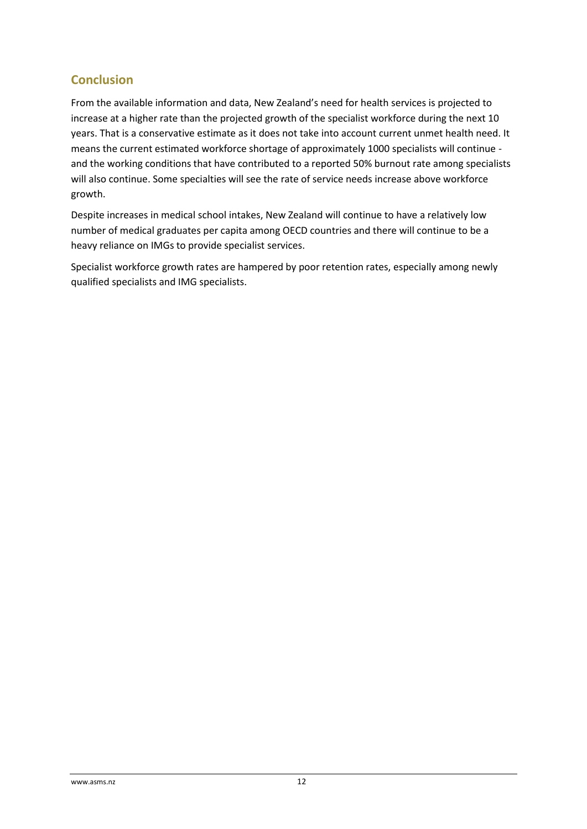### **Conclusion**

From the available information and data, New Zealand's need for health services is projected to increase at a higher rate than the projected growth of the specialist workforce during the next 10 years. That is a conservative estimate as it does not take into account current unmet health need. It means the current estimated workforce shortage of approximately 1000 specialists will continue and the working conditions that have contributed to a reported 50% burnout rate among specialists will also continue. Some specialties will see the rate of service needs increase above workforce growth.

Despite increases in medical school intakes, New Zealand will continue to have a relatively low number of medical graduates per capita among OECD countries and there will continue to be a heavy reliance on IMGs to provide specialist services.

Specialist workforce growth rates are hampered by poor retention rates, especially among newly qualified specialists and IMG specialists.